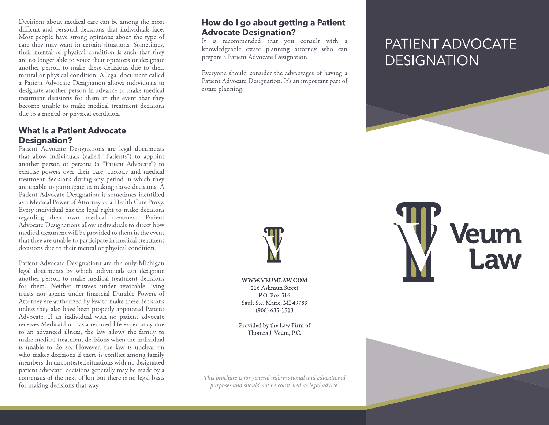Decisions about medical care can be among the most difficult and personal decisions that individuals face. Most people have strong opinions about the type of care they may want in certain situations. Sometimes, their mental or physical condition is such that they are no longer able to voice their opinions or designate another person to make these decisions due to their mental or physical condition. A legal document called a Patient Advocate Designation allows individuals to designate another person in advance to make medical treatment decisions for them in the event that they become unable to make medical treatment decisions due to a mental or physical condition.

## **What Is a Patient Advocate Designation?**

Patient Advocate Designations are legal documents that allow individuals (called "Patients") to appoint another person or persons (a "Patient Advocate") to exercise powers over their care, custody and medical treatment decisions during any period in which they are unable to participate in making those decisions. A Patient Advocate Designation is sometimes identified as a Medical Power of Attorney or a Health Care Proxy. Every individual has the legal right to make decisions regarding their own medical treatment. Patient Advocate Designations allow individuals to direct how medical treatment will be provided to them in the event that they are unable to participate in medical treatment decisions due to their mental or physical condition.

Patient Advocate Designations are the only Michigan legal documents by which individuals can designate another person to make medical treatment decisions for them. Neither trustees under revocable living trusts nor agents under financial Durable Powers of Attorney are authorized by law to make these decisions unless they also have been properly appointed Patient Advocate. If an individual with no patient advocate receives Medicaid or has a reduced life expectancy due to an advanced illness, the law allows the family to make medical treatment decisions when the individual is unable to do so. However, the law is unclear on who makes decisions if there is conflict among family members. In uncontested situations with no designated patient advocate, decisions generally may be made by a consensus of the next of kin but there is no legal basis for making decisions that way.

#### How do I go about getting a Patient **Advocate Designation?**

It is recommended that you consult with a knowledgeable estate planning attorney who can prepare a Patient Advocate Designation.

Everyone should consider the advantages of having a Patient Advocate Designation. It's an important part of estate planning.

# PATIENT ADVOCATE **DESIGNATION**



WWW.VEUMLAW.COM 216 Ashmun Street P.O. Box 516 Sault Ste. Marie, MI 49783  $(906) 635 - 1513$ 

Provided by the Law Firm of Thomas I. Veum, P.C.

This brochure is for general informational and educational purposes and should not be construed as legal advice.